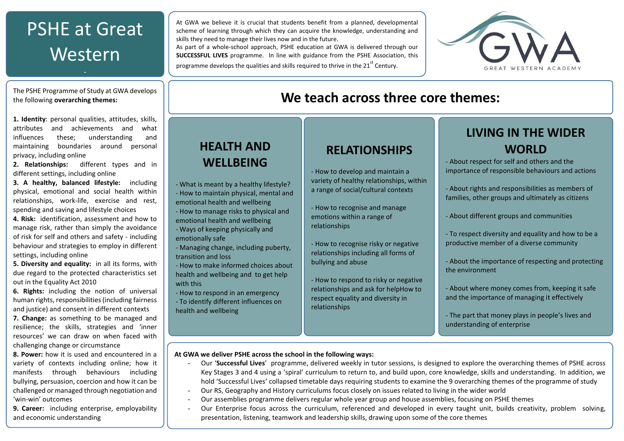# PSHE at Great **Western**

**Access**<br>The PSHE Programme of Study at GWA develops the following **overarching themes:**

**1. Identity**: personal qualities, attitudes, skills, attributes and achievements and what influences these; understanding and maintaining boundaries around personal privacy, including online

**2. Relationships:** different types and in different settings, including online

**3. A healthy, balanced lifestyle:** including physical, emotional and social health within relationships, work-life, exercise and rest, spending and saving and lifestyle choices

**4. Risk:** identification, assessment and how to manage risk, rather than simply the avoidance of risk for self and others and safety - including behaviour and strategies to employ in different settings, including online

**5. Diversity and equality:** in all its forms, with due regard to the protected characteristics set out in the Equality Act 2010

**6. Rights:** including the notion of universal human rights, responsibilities (including fairness and justice) and consent in different contexts

**7. Change:** as something to be managed and resilience; the skills, strategies and 'inner resources' we can draw on when faced with challenging change or circumstance

**8. Power:** how it is used and encountered in a variety of contexts including online; how it manifests through behaviours including bullying, persuasion, coercion and how it can be challenged or managed through negotiation and 'win-win' outcomes

**9. Career:** including enterprise, employability and economic understanding

At GWA we believe it is crucial that students benefit from a planned, developmental scheme of learning through which they can acquire the knowledge, understanding and skills they need to manage their lives now and in the future.

As part of a whole-school approach, PSHE education at GWA is delivered through our **SUCCESSFUL LIVES** programme. In line with guidance from the PSHE Association, this programme develops the qualities and skills required to thrive in the  $21<sup>st</sup>$  Century.



## **We teach across three core themes:**

#### **HEALTH AND WELLBEING**

- What is meant by a healthy lifestyle?
- How to maintain physical, mental and emotional health and wellbeing
- How to manage risks to physical and
- emotional health and wellbeing
- Ways of keeping physically and emotionally safe
- Managing change, including puberty, transition and loss
- How to make informed choices about health and wellbeing and to get help with this
- How to respond in an emergency - To identify different influences on health and wellbeing

### **RELATIONSHIPS**

- How to develop and maintain a variety of healthy relationships, within a range of social/cultural contexts

- How to recognise and manage emotions within a range of relationships

- How to recognise risky or negative relationships including all forms of bullying and abuse
- How to respond to risky or negative relationships and ask for helpHow to respect equality and diversity in relationships

### **LIVING IN THE WIDER WORLD**

- About respect for self and others and the importance of responsible behaviours and actions

- About rights and responsibilities as members of families, other groups and ultimately as citizens
- About different groups and communities
- To respect diversity and equality and how to be a productive member of a diverse community
- About the importance of respecting and protecting the environment
- About where money comes from, keeping it safe and the importance of managing it effectively
- The part that money plays in people's lives and understanding of enterprise

#### **At GWA we deliver PSHE across the school in the following ways:**

- Our '**Successful Lives**' programme, delivered weekly in tutor sessions, is designed to explore the overarching themes of PSHE across Key Stages 3 and 4 using a 'spiral' curriculum to return to, and build upon, core knowledge, skills and understanding. In addition, we hold 'Successful Lives' collapsed timetable days requiring students to examine the 9 overarching themes of the programme of study
- Our RS, Geography and History curriculums focus closely on issues related to living in the wider world
- Our assemblies programme delivers regular whole year group and house assemblies, focusing on PSHE themes
- Our Enterprise focus across the curriculum, referenced and developed in every taught unit, builds creativity, problem solving, presentation, listening, teamwork and leadership skills, drawing upon some of the core themes